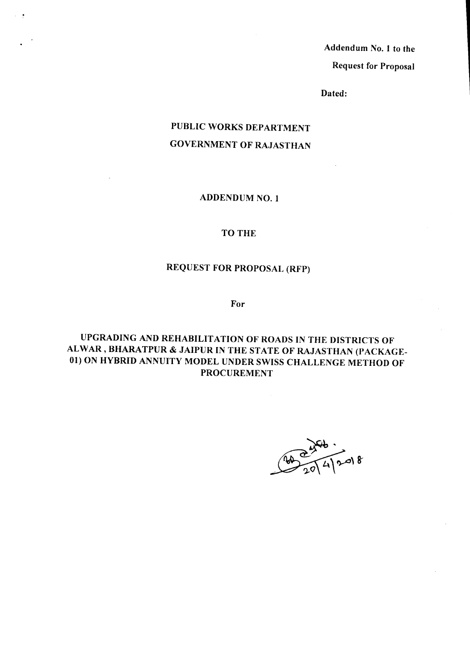Request for Proposal Addendum No.1 to the

Dated:

### PUBLIC WORKS DEPARTMENT GOVERNMENT OF RAJASTHAN

#### ADDENDUM NO.1

#### TO THE

## REQUEST FOR PROPOSAL (RFP)

For

UPGRADING AND REHABILITATION OF ROADS IN THE DISTRICTS OF ALWAR, BHARATPUR & JAIPUR IN THE STATE OF RAJASTHAN (PACKAGE-01) ON HYBRID ANNUITY MODEL UNDER SWISS CHALLENGE METHOD OF PROCUREMENT

 $\frac{1}{2}$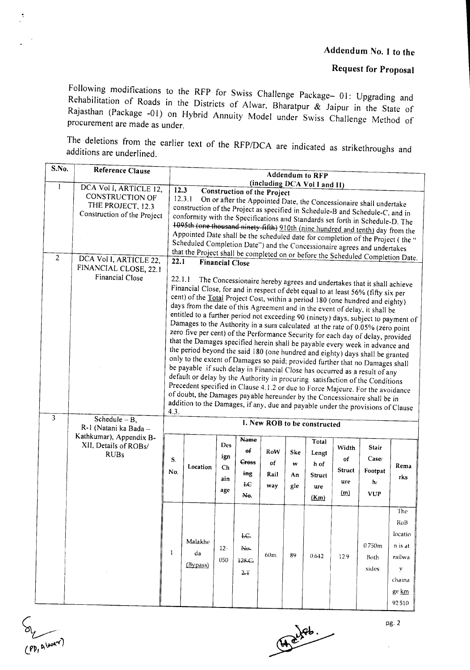## Request for Proposal

Following modifications to the RFP for Swiss Challenge Package- 01: Upgrading and Rehabilitation of Roads in the Districts of Alwar, Bharatpur & Jaipur in the State of Rajasthan (Package -01) on Hybrid Annuity Model under Swiss Challenge Method of procurement are made as under.

The deletions from the earlier text of the *RFP/DCA* are indicated as strikethroughs and additions are underlined.

| S.No.          | Reference Clause                                                                                            |                                                                                                                                                                                                                                                                                                                                                                                                                                                                                                                                                                                                                                                                                                                                                                                                                                                                                                                                                                                                                                                                                                                                                                                                                                                                                                                                                                                                                                                                                                            |                                                                                                                                                                                                                                                                                                                                     |                                                        |                                                                                            |                                 |                             | <b>Addendum to RFP</b>                                   |                                             |                                                                                                                                 |                                                                           |
|----------------|-------------------------------------------------------------------------------------------------------------|------------------------------------------------------------------------------------------------------------------------------------------------------------------------------------------------------------------------------------------------------------------------------------------------------------------------------------------------------------------------------------------------------------------------------------------------------------------------------------------------------------------------------------------------------------------------------------------------------------------------------------------------------------------------------------------------------------------------------------------------------------------------------------------------------------------------------------------------------------------------------------------------------------------------------------------------------------------------------------------------------------------------------------------------------------------------------------------------------------------------------------------------------------------------------------------------------------------------------------------------------------------------------------------------------------------------------------------------------------------------------------------------------------------------------------------------------------------------------------------------------------|-------------------------------------------------------------------------------------------------------------------------------------------------------------------------------------------------------------------------------------------------------------------------------------------------------------------------------------|--------------------------------------------------------|--------------------------------------------------------------------------------------------|---------------------------------|-----------------------------|----------------------------------------------------------|---------------------------------------------|---------------------------------------------------------------------------------------------------------------------------------|---------------------------------------------------------------------------|
|                |                                                                                                             |                                                                                                                                                                                                                                                                                                                                                                                                                                                                                                                                                                                                                                                                                                                                                                                                                                                                                                                                                                                                                                                                                                                                                                                                                                                                                                                                                                                                                                                                                                            |                                                                                                                                                                                                                                                                                                                                     |                                                        |                                                                                            |                                 |                             | (including DCA Vol I and II)                             |                                             |                                                                                                                                 |                                                                           |
| 1              | DCA Vol I, ARTICLE 12,<br>CONSTRUCTION OF<br>THE PROJECT, 12.3<br>Construction of the Project               | 12.3<br>12.3.1                                                                                                                                                                                                                                                                                                                                                                                                                                                                                                                                                                                                                                                                                                                                                                                                                                                                                                                                                                                                                                                                                                                                                                                                                                                                                                                                                                                                                                                                                             | construction of the Project as specified in Schedule-B and Schedule-C, and in<br>conformity with the Specifications and Standards set forth in Schedule-D. The<br>1095th (one thousand ninety fifth) 910th (nine hundred and tenth) day from the<br>Appointed Date shall be the scheduled date for completion of the Project (the " |                                                        | <b>Construction of the Project</b>                                                         |                                 |                             |                                                          |                                             | On or after the Appointed Date, the Concessionaire shall undertake                                                              |                                                                           |
| $\overline{2}$ | DCA Vol I, ARTICLE 22,<br>FINANCIAL CLOSE, 22.1<br>Financial Close                                          | Scheduled Completion Date") and the Concessionaire agrees and undertakes<br>that the Project shall be completed on or before the Scheduled Completion Date.<br>22.1<br><b>Financial Close</b><br>22.1.1<br>The Concessionaire hereby agrees and undertakes that it shall achieve<br>Financial Close, for and in respect of debt equal to at least 56% (fifty six per<br>cent) of the Total Project Cost, within a period 180 (one hundred and eighty)<br>days from the date of this Agreement and in the event of delay, it shall be<br>entitled to a further period not exceeding 90 (ninety) days, subject to payment of<br>Damages to the Authority in a sum calculated at the rate of 0.05% (zero point<br>zero five per cent) of the Performance Security for each day of delay, provided<br>that the Damages specified herein shall be payable every week in advance and<br>the period beyond the said 180 (one hundred and eighty) days shall be granted<br>only to the extent of Damages so paid; provided further that no Damages shall<br>be payable if such delay in Financial Close has occurred as a result of any<br>default or delay by the Authority in procuring satisfaction of the Conditions<br>Precedent specified in Clause 4.1.2 or due to Force Majeure. For the avoidance<br>of doubt, the Damages payable hereunder by the Concessionaire shall be in<br>addition to the Damages, if any, due and payable under the provisions of Clause<br>4.3.<br>1. New ROB to be constructed |                                                                                                                                                                                                                                                                                                                                     |                                                        |                                                                                            |                                 |                             |                                                          |                                             |                                                                                                                                 |                                                                           |
| 3              | Schedule $-B$ ,<br>R-1 (Natani ka Bada -<br>Kathkumar), Appendix B-<br>XII, Details of ROBs/<br><b>RUBs</b> | S.<br>No.<br>1                                                                                                                                                                                                                                                                                                                                                                                                                                                                                                                                                                                                                                                                                                                                                                                                                                                                                                                                                                                                                                                                                                                                                                                                                                                                                                                                                                                                                                                                                             | Location<br>Malakhe<br>da<br>(Bypass)                                                                                                                                                                                                                                                                                               | <b>Des</b><br>ign<br>Ch<br>ain<br>age<br>$12 -$<br>050 | <b>Name</b><br>$\theta$<br><b>Cross</b><br>ing<br>FE<br>Ne.<br>fC<br>Ne.<br>128 G<br>$2 +$ | RoW<br>of<br>Rail<br>way<br>60m | Ske<br>w<br>An<br>gle<br>89 | Total<br>Lengt<br>h of<br>Struct<br>ure<br>(Km)<br>0.642 | Width<br>of<br>Struct<br>ure<br>(m)<br>12.9 | Stair<br>$\mathbf{Case}\textcolor{red}{\prime}$<br>Footpat<br>$\mathbf{h}$<br><b>VUP</b><br>0.750 <sub>m</sub><br>Both<br>sides | Rema<br>rks<br>The<br>RoB<br>locatio<br>n is at<br>railwa<br>$\mathbf{y}$ |
|                |                                                                                                             |                                                                                                                                                                                                                                                                                                                                                                                                                                                                                                                                                                                                                                                                                                                                                                                                                                                                                                                                                                                                                                                                                                                                                                                                                                                                                                                                                                                                                                                                                                            |                                                                                                                                                                                                                                                                                                                                     |                                                        |                                                                                            |                                 |                             |                                                          |                                             |                                                                                                                                 | chaina<br>ge km                                                           |



 $A^{\text{obs}}$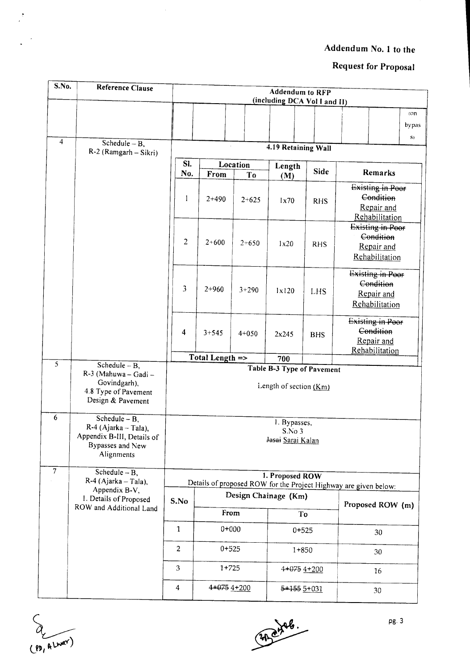# Request for Proposal

| S.No.            | Reference Clause                                                                                           |                           |                 |                | <b>Addendum to RFP</b><br>(including DCA Vol I and II) |                 |                                                                  |                     |
|------------------|------------------------------------------------------------------------------------------------------------|---------------------------|-----------------|----------------|--------------------------------------------------------|-----------------|------------------------------------------------------------------|---------------------|
|                  |                                                                                                            |                           |                 |                |                                                        |                 |                                                                  | (0n)<br>bypas<br>S) |
| $\overline{4}$   | Schedule $-\overline{B}$ ,<br>R-2 (Ramgarh - Sikri)                                                        |                           |                 |                | 4.19 Retaining Wall                                    |                 |                                                                  |                     |
|                  |                                                                                                            | SI.<br>No.                | From            | Location<br>To | Length<br>(M)                                          | Side            | Remarks                                                          |                     |
|                  |                                                                                                            | 1                         | $2+490$         | $2+625$        | 1x70                                                   | <b>RHS</b>      | Existing in Poor<br>Condition<br>Repair and<br>Rehabilitation    |                     |
|                  |                                                                                                            | 2                         | $2 + 600$       | $2+650$        | 1x20                                                   | <b>RHS</b>      | Existing in Poor<br>Condition<br>Repair and<br>Rehabilitation    |                     |
|                  |                                                                                                            | 3                         | $2 + 960$       | $3 + 290$      | 1x120                                                  | LHS             | Existing in Poor<br>Condition<br>Repair and<br>Rehabilitation    |                     |
|                  |                                                                                                            | 4                         | $3 + 545$       | $4 + 050$      | 2x245                                                  | <b>BHS</b>      | Existing in Poor<br>Condition<br>Repair and<br>Rehabilitation    |                     |
| $\overline{5}$   |                                                                                                            |                           | Total Length => |                | 700                                                    |                 |                                                                  |                     |
|                  | Schedule $- B$ ,<br>R-3 (Mahuwa - Gadi -<br>Govindgarh),<br>4.8 Type of Pavement<br>Design & Pavement      |                           |                 |                | Table B-3 Type of Pavement<br>Length of section $(Km)$ |                 |                                                                  |                     |
| $\boldsymbol{6}$ | $S$ chedule – B,<br>$R-4$ (Ajarka – Tala),<br>Appendix B-III, Details of<br>Bypasses and New<br>Alignments |                           |                 |                | 1. Bypasses,<br>S.No <sub>3</sub><br>Jasai Sarai Kalan |                 |                                                                  |                     |
| $\overline{7}$   | Schedule $-B$ ,<br>R-4 (Ajarka - Tala),                                                                    |                           |                 |                | 1. Proposed ROW                                        |                 | Details of proposed ROW for the Project Highway are given below: |                     |
|                  | Appendix B-V,<br>1. Details of Proposed<br>ROW and Additional Land                                         | S.No                      |                 |                | Design Chainage (Km)                                   |                 | Proposed ROW (m)                                                 |                     |
|                  |                                                                                                            |                           | From            |                |                                                        | To              |                                                                  |                     |
|                  |                                                                                                            | 1                         | $0 + 000$       |                |                                                        | $0 + 525$       | 30                                                               |                     |
|                  |                                                                                                            | $\overline{c}$            | $0 + 525$       |                |                                                        | $1+850$         | 30                                                               |                     |
|                  |                                                                                                            | $\ensuremath{\mathbf{3}}$ | $1+725$         |                |                                                        | $4+075$ $4+200$ | 16                                                               |                     |
|                  |                                                                                                            | $\overline{4}$            | $4+075$ $4+200$ |                | $5+1555+031$                                           |                 | 30                                                               |                     |

(PD, ALWAY)

 $\tilde{\boldsymbol{z}}$ 

32 dags.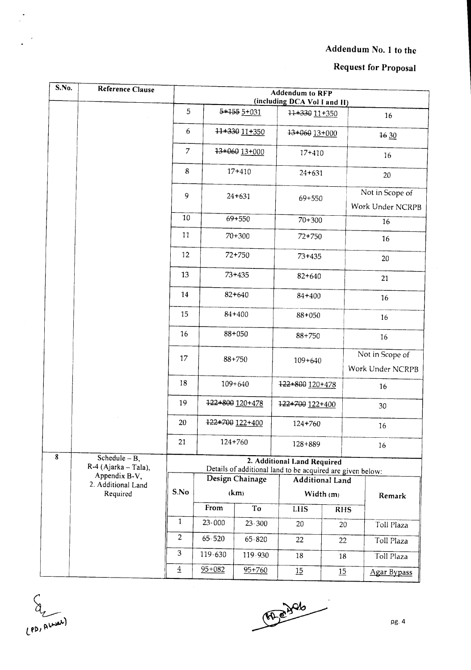## Request for Proposal

| S.No.                   | Reference Clause                                   |                | <b>Addendum to RFP</b><br>(including DCA Vol I and II) |                 |                                                                                           |                        |                                     |  |  |  |
|-------------------------|----------------------------------------------------|----------------|--------------------------------------------------------|-----------------|-------------------------------------------------------------------------------------------|------------------------|-------------------------------------|--|--|--|
|                         |                                                    | 5              |                                                        | 5+155 5+031     | 11+330 11+350                                                                             |                        | 16                                  |  |  |  |
|                         |                                                    | 6              |                                                        | 11+330 11+350   | 13+060 13+000                                                                             |                        | 16 30                               |  |  |  |
|                         |                                                    | $\overline{7}$ |                                                        | 13+060 13+000   | 17+410                                                                                    |                        | 16                                  |  |  |  |
|                         |                                                    | 8              |                                                        | $17 + 410$      | $24 + 631$                                                                                |                        | 20                                  |  |  |  |
|                         |                                                    | 9              |                                                        | $24 + 631$      | 69+550                                                                                    |                        | Not in Scope of<br>Work Under NCRPB |  |  |  |
|                         |                                                    |                |                                                        | $69 + 550$      | $70 + 300$                                                                                |                        | 16                                  |  |  |  |
|                         |                                                    | 11             |                                                        | $70 + 300$      | 72+750                                                                                    |                        | 16                                  |  |  |  |
|                         |                                                    |                |                                                        | 72+750          | $73 + 435$                                                                                |                        | 20                                  |  |  |  |
|                         |                                                    |                |                                                        | $73 + 435$      | 82+640                                                                                    |                        | 21                                  |  |  |  |
|                         |                                                    | 14             |                                                        | 82+640          | 84+400                                                                                    |                        | 16                                  |  |  |  |
|                         |                                                    | 15             | 84+400                                                 |                 | $88 + 050$                                                                                |                        | 16                                  |  |  |  |
|                         |                                                    | 16             |                                                        | $88 + 050$      | $88 + 750$                                                                                |                        | 16                                  |  |  |  |
|                         |                                                    | 17             | $88 + 750$                                             |                 | $109 + 640$                                                                               |                        | Not in Scope of<br>Work Under NCRPB |  |  |  |
|                         |                                                    | 18             |                                                        | $109 + 640$     | 122+800 120+478                                                                           |                        | 16                                  |  |  |  |
|                         |                                                    | 19             |                                                        | 122+800 120+478 | 122+700 122+400                                                                           |                        | 30                                  |  |  |  |
|                         |                                                    | 20             |                                                        | 122+700 122+400 | $124 + 760$                                                                               |                        | 16                                  |  |  |  |
|                         |                                                    | 21             |                                                        | 124+760         | $128 + 889$                                                                               |                        | 16                                  |  |  |  |
| $\overline{\mathbf{8}}$ | Schedule $-\overline{B}$ ,<br>R-4 (Ajarka - Tala), |                |                                                        |                 | 2. Additional Land Required<br>Details of additional land to be acquired are given below: |                        |                                     |  |  |  |
|                         | Appendix B-V,<br>2. Additional Land                |                |                                                        | Design Chainage |                                                                                           | <b>Additional Land</b> |                                     |  |  |  |
|                         | Required                                           | S.No           |                                                        | (km)            |                                                                                           | Width (m)              | Remark                              |  |  |  |
|                         |                                                    |                | From                                                   | To              | <b>LHS</b>                                                                                | <b>RHS</b>             |                                     |  |  |  |
|                         |                                                    | $\mathbf{1}$   | $23 - 000$                                             | $23 - 300$      | 20                                                                                        | 20                     | Toll Plaza                          |  |  |  |
|                         |                                                    | $\overline{2}$ | $65 - 520$                                             | $65 - 820$      | 22                                                                                        | 22                     | Toll Plaza                          |  |  |  |
|                         |                                                    | 3              | 119.630                                                | 119.930         | 18                                                                                        | 18                     | Toll Plaza                          |  |  |  |
|                         |                                                    | $\overline{4}$ | $95 + 082$                                             | $95 + 760$      | 15                                                                                        | 15                     | Agar Bypass                         |  |  |  |

El Aurel

 $\tilde{\gamma}$ 

 $47.846$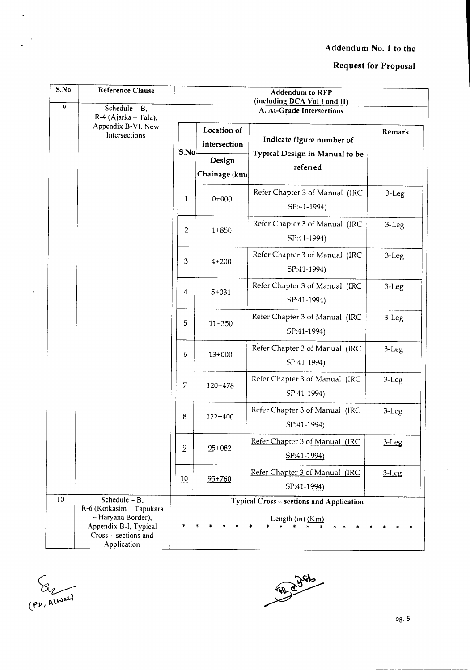### Request for Proposal

| $\overline{\mathbf{S}}$ . No. | Reference Clause                                                                                                                   |                |                             | <b>Addendum to RFP</b><br>(including DCA Vol I and II)          |           |
|-------------------------------|------------------------------------------------------------------------------------------------------------------------------------|----------------|-----------------------------|-----------------------------------------------------------------|-----------|
| $\overline{9}$                | Schedule $- B$ ,<br>R-4 (Ajarka – Tala),                                                                                           |                |                             | A. At-Grade Intersections                                       |           |
|                               | Appendix B-VI, New<br>Intersections                                                                                                | S.No           | Location of<br>intersection | Indicate figure number of<br>Typical Design in Manual to be     | Remark    |
|                               |                                                                                                                                    |                | Design<br>Chainage (km)     | referred                                                        |           |
|                               |                                                                                                                                    | 1              | $0+000$                     | Refer Chapter 3 of Manual (IRC<br>SP:41-1994)                   | 3-Leg     |
|                               |                                                                                                                                    | 2              | $1 + 850$                   | Refer Chapter 3 of Manual (IRC<br>SP:41-1994)                   | $3-Leg$   |
|                               |                                                                                                                                    | 3              | $4 + 200$                   | Refer Chapter 3 of Manual (IRC<br>SP:41-1994)                   | $3-Leg$   |
|                               |                                                                                                                                    | $\overline{4}$ | $5 + 031$                   | Refer Chapter 3 of Manual (IRC<br>SP:41-1994)                   | $3-Leg$   |
|                               |                                                                                                                                    | 5              | $11 + 350$                  | Refer Chapter 3 of Manual (IRC<br>SP:41-1994)                   | $3-Leg$   |
|                               |                                                                                                                                    | 6              | $13+000$                    | Refer Chapter 3 of Manual (IRC<br>SP:41-1994)                   | 3-Leg     |
|                               |                                                                                                                                    | 7              | 120+478                     | Refer Chapter 3 of Manual (IRC<br>SP:41-1994)                   | $3-Leg$   |
|                               |                                                                                                                                    | 8              | $122 + 400$                 | Refer Chapter 3 of Manual (IRC<br>SP:41-1994)                   | $3-Leg$   |
|                               |                                                                                                                                    | $\overline{6}$ | $95 + 082$                  | Refer Chapter 3 of Manual (IRC<br>$SP:41-1994$                  | $3 - Leg$ |
|                               |                                                                                                                                    | 10             | $95 + 760$                  | Refer Chapter 3 of Manual (IRC<br>SP:41-1994)                   | $3 - Leg$ |
| 10                            | Schedule $- B$ ,<br>R-6 (Kotkasim - Tapukara<br>- Haryana Border),<br>Appendix B-I, Typical<br>Cross - sections and<br>Application |                |                             | Typical Cross - sections and Application<br>Length $(m)$ $(Km)$ |           |

(PD, ALWEL)

 $\ddot{\phantom{1}}$ 

 $\ddot{\phantom{a}}$ 

87 8 486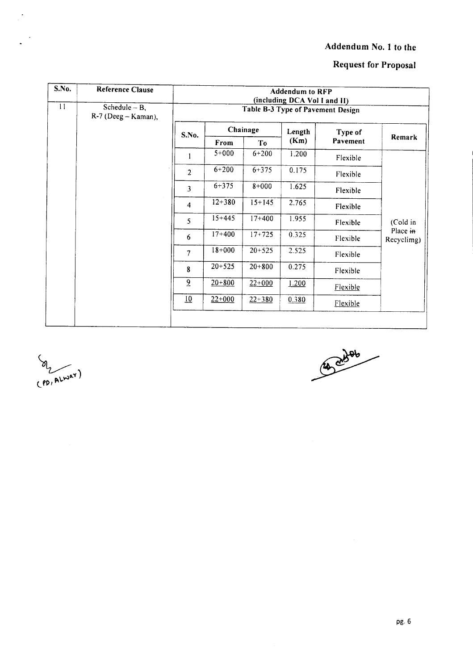### **Request for Proposal**

| S.No.           | <b>Reference Clause</b>                 |                  | <b>Addendum to RFP</b><br>(including DCA Vol I and II)<br>Table B-3 Type of Pavement Design |                |        |          |                        |  |  |  |  |  |
|-----------------|-----------------------------------------|------------------|---------------------------------------------------------------------------------------------|----------------|--------|----------|------------------------|--|--|--|--|--|
| $\overline{11}$ | Schedule $- B$ ,<br>R-7 (Deeg - Kaman), |                  |                                                                                             |                |        |          |                        |  |  |  |  |  |
|                 |                                         | S.No.            |                                                                                             | Chainage       | Length | Type of  | Remark                 |  |  |  |  |  |
|                 |                                         |                  | From                                                                                        | T <sub>0</sub> | (Km)   | Pavement |                        |  |  |  |  |  |
|                 |                                         |                  | $5 + 000$                                                                                   | $6 + 200$      | 1.200  | Flexible |                        |  |  |  |  |  |
|                 |                                         | $\overline{2}$   | $6 + 200$                                                                                   | $6 + 375$      | 0.175  | Flexible |                        |  |  |  |  |  |
|                 |                                         | 3                | $6 + 375$                                                                                   | $8 + 000$      | 1.625  | Flexible |                        |  |  |  |  |  |
|                 |                                         | $\overline{4}$   | $12 + 380$                                                                                  | $15 + 145$     | 2.765  | Flexible |                        |  |  |  |  |  |
|                 |                                         | 5                | $15 + 445$                                                                                  | $17 + 400$     | 1.955  | Flexible | (Cold in               |  |  |  |  |  |
|                 |                                         | 6                | $17+400$                                                                                    | $17+725$       | 0.325  | Flexible | Place in<br>Recyclimg) |  |  |  |  |  |
|                 |                                         | $\overline{7}$   | $18+000$                                                                                    | $20 + 525$     | 2.525  | Flexible |                        |  |  |  |  |  |
|                 |                                         | 8                | $20 + 525$                                                                                  | $20 + 800$     | 0.275  | Flexible |                        |  |  |  |  |  |
|                 |                                         | $\overline{6}$   | $20 + 800$                                                                                  | $22+000$       | 1.200  | Flexible |                        |  |  |  |  |  |
|                 |                                         | $\underline{10}$ | $22+000$                                                                                    | $22 + 380$     | 0.380  | Flexible |                        |  |  |  |  |  |
|                 |                                         |                  |                                                                                             |                |        |          |                        |  |  |  |  |  |

OL ALWAY)

 $\frac{1}{\sqrt{2}}$ 

 $\ddot{\phantom{a}}$ 

14 abres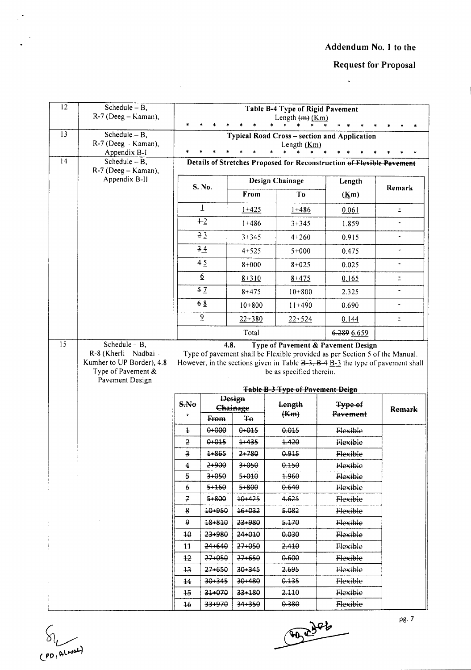$\ddot{\phantom{0}}$ 

### **Request for Proposal**

| 12 | Schedule $- B$ ,<br>R-7 (Deeg - Kaman),                            |                         |                           |                | Table B-4 Type of Rigid Pavement<br>Length $(m)$ $(Km)$                                                                                                       |                                                                       |                          |
|----|--------------------------------------------------------------------|-------------------------|---------------------------|----------------|---------------------------------------------------------------------------------------------------------------------------------------------------------------|-----------------------------------------------------------------------|--------------------------|
|    |                                                                    |                         |                           |                |                                                                                                                                                               |                                                                       |                          |
| 13 | Schedule $- B$ ,<br>R-7 (Deeg - Kaman),                            |                         |                           |                | Length $(Km)$                                                                                                                                                 | Typical Road Cross - section and Application                          |                          |
| 14 | Appendix B-I<br>Schedule $- B$ ,                                   |                         |                           |                |                                                                                                                                                               | Details of Stretches Proposed for Reconstruction of Flexible Pavement |                          |
|    | R-7 (Deeg - Kaman),<br>Appendix B-II                               |                         |                           |                | Design Chainage                                                                                                                                               | Length                                                                |                          |
|    |                                                                    |                         | S. No.                    | From           | To                                                                                                                                                            | (Km)                                                                  | Remark                   |
|    |                                                                    |                         | $\overline{1}$            | $1 + 425$      | $1 + 486$                                                                                                                                                     | 0.061                                                                 | $\equiv$                 |
|    |                                                                    |                         | $+2$                      | $1 + 486$      | $3 + 345$                                                                                                                                                     | 1.859                                                                 |                          |
|    |                                                                    |                         | 23                        | $3 + 345$      | $4 + 260$                                                                                                                                                     | 0.915                                                                 | $\overline{\phantom{0}}$ |
|    |                                                                    |                         | 34                        | $4 + 525$      | $5 + 000$                                                                                                                                                     | 0.475                                                                 | $\ddot{\phantom{0}}$     |
|    |                                                                    |                         | 45                        | $8 + 000$      | $8 + 025$                                                                                                                                                     | 0.025                                                                 | $\overline{\phantom{0}}$ |
|    |                                                                    |                         | $\underline{6}$           | $8 + 310$      | $8 + 475$                                                                                                                                                     | 0.165                                                                 | $\Xi$                    |
|    |                                                                    |                         | 52                        | $8 + 475$      | $10 + 800$                                                                                                                                                    | 2.325                                                                 | $\blacksquare$           |
|    |                                                                    |                         | 68                        | $10 + 800$     | $11+490$                                                                                                                                                      | 0.690                                                                 | ٠                        |
|    |                                                                    |                         | $\overline{6}$            | $22 + 380$     | $22 + 524$                                                                                                                                                    | 0.144                                                                 | ž.                       |
|    |                                                                    |                         |                           | Total          |                                                                                                                                                               | 6.289 6.659                                                           |                          |
| 15 | Schedule $- B$ ,                                                   |                         | 4.8.                      |                |                                                                                                                                                               | Type of Pavement & Pavement Design                                    |                          |
|    | Kumher to UP Border), 4.8<br>Type of Pavement &<br>Pavement Design |                         |                           |                | However, in the sections given in Table $B-3$ , $B-4$ $B-3$ the type of pavement shall<br>be as specified therein.<br><b>Table B-3 Type of Pavement Deign</b> |                                                                       |                          |
|    |                                                                    |                         |                           |                |                                                                                                                                                               |                                                                       |                          |
|    |                                                                    | S.No                    | <b>Design</b><br>Chainage |                | Length                                                                                                                                                        | Type of                                                               | <b>Remark</b>            |
|    |                                                                    | $\overline{\bullet}$    | From                      | Ŧθ             | (Km)                                                                                                                                                          | Pavement                                                              |                          |
|    |                                                                    | $\ddagger$              | $0 - 000$                 | 0+015          | 0.015                                                                                                                                                         | Flexible                                                              |                          |
|    |                                                                    | $\mathbf 2$             | 0+015                     | $1 - 435$      | 1.420                                                                                                                                                         | Flexible                                                              |                          |
|    |                                                                    | $\overline{\mathbf{3}}$ | $1 + 865$                 | 2+780          | 0.915                                                                                                                                                         | Flexible                                                              |                          |
|    |                                                                    | 4                       | 2+900                     | $3+050$        | 0.150                                                                                                                                                         | Flexible                                                              |                          |
|    |                                                                    | 5<br>6                  | 3+050<br>5+160            | 5+010<br>5+800 | $+960$<br>0.640                                                                                                                                               | Flexible<br>Flexible                                                  |                          |
|    |                                                                    | 7                       | 5+800                     | 10+425         | 4.625                                                                                                                                                         | Flexible                                                              |                          |
|    |                                                                    | 8                       | 10-950                    | 16+032         | 5.082                                                                                                                                                         | Flexible                                                              |                          |
|    |                                                                    | 9                       | 18+810                    | 23+980         | 5.170                                                                                                                                                         | Flexible                                                              |                          |
|    |                                                                    | 10                      | 23+980                    | 24+010         | 0.030                                                                                                                                                         | Flexible                                                              |                          |
|    |                                                                    | $\ddagger\ddagger$      | 24+640                    | 27+050         | 2.410                                                                                                                                                         | Flexible                                                              |                          |
|    |                                                                    | 42                      | $27 + 050$                | 27+650         | 0.600                                                                                                                                                         | Flexible                                                              |                          |
|    |                                                                    | 13                      | 27+650                    | $30 + 345$     | 2.695                                                                                                                                                         | Flexible                                                              |                          |
|    |                                                                    | 44                      | $30 + 345$                | 30+480         | 0.135                                                                                                                                                         | Flexible                                                              |                          |
|    |                                                                    | 15                      | 31+070                    | 33+180         | 2.110                                                                                                                                                         | Flexible                                                              |                          |
|    |                                                                    |                         |                           |                |                                                                                                                                                               |                                                                       |                          |



 $\ddot{\phantom{a}}$ 

**Engaged**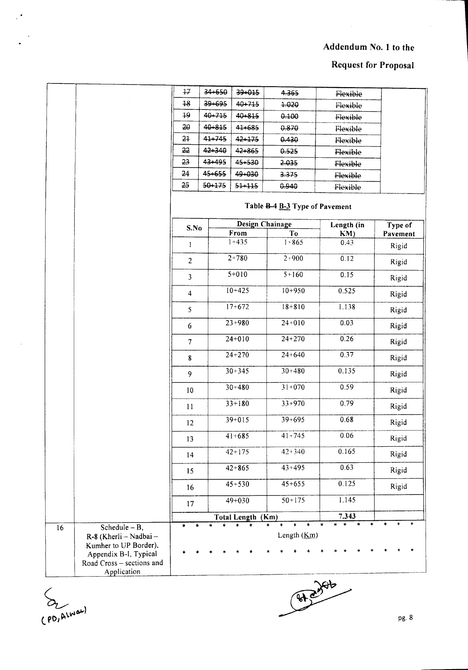### Request for Proposal

|                 |                                                                                                                                          | 17                      | 34+650 | 39+015            | 4.365                          | Flexible                                           |                            |
|-----------------|------------------------------------------------------------------------------------------------------------------------------------------|-------------------------|--------|-------------------|--------------------------------|----------------------------------------------------|----------------------------|
|                 |                                                                                                                                          | 18                      | 39+695 | 40+715            | 1.020                          | Flexible                                           |                            |
|                 |                                                                                                                                          | 19                      | 40+715 | 40+815            | 0.100                          | Flexible                                           |                            |
|                 |                                                                                                                                          | 20                      | 40+815 | 41+685            | 0.870                          | Flexible                                           |                            |
|                 |                                                                                                                                          | 21                      | 41-745 | 42+175            | 0.430                          | Flexible                                           |                            |
|                 |                                                                                                                                          | 22                      | 42+340 | 42+865            | 0.525                          | Flexible                                           |                            |
|                 |                                                                                                                                          | 23                      | 43+495 | 45+530            | 2.035                          | Flexible                                           |                            |
|                 |                                                                                                                                          | 24                      | 45+655 | 49+030            | 3.375                          | Flexible                                           |                            |
|                 |                                                                                                                                          | 25                      | 50+175 | $51 + 115$        | 0.940                          | Flexible                                           |                            |
|                 |                                                                                                                                          |                         |        |                   | Table B-4 B-3 Type of Pavement |                                                    |                            |
|                 |                                                                                                                                          | S.No                    |        |                   | <b>Design Chainage</b>         | Length (in                                         | Type of                    |
|                 |                                                                                                                                          |                         |        | From<br>$1 + 435$ | T <sub>0</sub><br>$1 + 865$    | KM)<br>0.43                                        | Pavement                   |
|                 |                                                                                                                                          | 1                       |        |                   |                                |                                                    | Rigid                      |
|                 |                                                                                                                                          | $\overline{c}$          |        | $2+780$           | $2 + 900$                      | 0.12                                               | Rigid                      |
|                 |                                                                                                                                          | $\overline{\mathbf{3}}$ |        | $5+010$           | $5 + 160$                      | 0.15                                               | Rigid                      |
|                 |                                                                                                                                          | 4                       |        | $10+425$          | $10+950$                       | 0.525                                              | Rigid                      |
|                 |                                                                                                                                          | 5                       |        | $17+672$          | $18 + 810$                     | 1.138                                              | Rigid                      |
|                 |                                                                                                                                          | 6                       |        | $23 + 980$        | $24+010$                       | 0.03                                               | Rigid                      |
|                 |                                                                                                                                          | $\overline{7}$          |        | $24+010$          | $24 + 270$                     | 0.26                                               | Rigid                      |
|                 |                                                                                                                                          | ${\bf 8}$               |        | $24 + 270$        | $24 + 640$                     | 0.37                                               | Rigid                      |
|                 |                                                                                                                                          | 9                       |        | $30 + 345$        | $30 + 480$                     | 0.135                                              | Rigid                      |
|                 |                                                                                                                                          | 10                      |        | $30 + 480$        | $31+070$                       | 0.59                                               | Rigid                      |
|                 |                                                                                                                                          | 11                      |        | $33+180$          | $33+970$                       | 0.79                                               | Rigid                      |
|                 |                                                                                                                                          | 12                      |        | $39 + 015$        | $39 + 695$                     | 0.68                                               | Rigid                      |
|                 |                                                                                                                                          | 13                      |        | $41 + 685$        | $41 + 745$                     | 0.06                                               | Rigid                      |
|                 |                                                                                                                                          | 14                      |        | $42 + 175$        | $42 + 340$                     | 0.165                                              | Rigid                      |
|                 |                                                                                                                                          | 15                      |        | $42 + 865$        | $43 + 495$                     | 0.63                                               | Rigid                      |
|                 |                                                                                                                                          | 16                      |        | $45 + 530$        | $45 + 655$                     | 0.125                                              | Rigid                      |
|                 |                                                                                                                                          | 17                      |        | $49 + 030$        | $50 + 175$                     | 1.145                                              |                            |
|                 |                                                                                                                                          |                         |        | Total Length (Km) |                                | 7.343                                              |                            |
| $\overline{16}$ | Schedule $- B$ ,<br>R-8 (Kherli - Nadbai -<br>Kumher to UP Border),<br>Appendix B-I, Typical<br>Road Cross - sections and<br>Application | $\ast$                  |        |                   | $\ast$<br>Length (Km)          | $\star$<br>$\ast$<br>×.<br>$\ddot{\ast}$<br>$\ast$ | $\ast$<br>$\ast$<br>$\ast$ |

(PD, ALWAN)

 $\mathbb{R}^{\frac{1}{2}}$ 

Repression (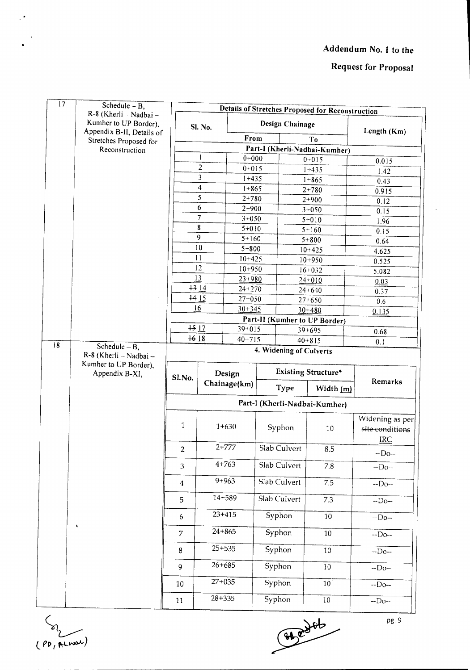### **Request for Proposal**

| 17 | Schedule $- B$ ,<br>R-8 (Kherli - Nadbai -          |                  |                         |                          |         |                 | <b>Details of Stretches Proposed for Reconstruction</b> |                 |
|----|-----------------------------------------------------|------------------|-------------------------|--------------------------|---------|-----------------|---------------------------------------------------------|-----------------|
|    | Kumher to UP Border),                               |                  | Sl. No.                 |                          |         | Design Chainage |                                                         |                 |
|    | Appendix B-II, Details of<br>Stretches Proposed for |                  |                         | From                     |         |                 | To                                                      | Length (Km)     |
|    | Reconstruction                                      |                  |                         |                          |         |                 | Part-I (Kherli-Nadbai-Kumher)                           |                 |
|    |                                                     |                  |                         | $0 + 000$                |         |                 | $0 + 015$                                               | 0.015           |
|    |                                                     |                  | $\overline{\mathbf{c}}$ |                          | $0+015$ |                 | $1 + 435$                                               | 1.42            |
|    |                                                     |                  | 3                       | $1 + 435$                |         |                 | $1 + 865$                                               | 0.43            |
|    |                                                     |                  | 4<br>5                  | $1 + 865$                |         |                 | $2 + 780$                                               | 0.915           |
|    |                                                     |                  | 6                       | $2 + 780$<br>$2+900$     |         |                 | $2+900$                                                 | 0.12            |
|    |                                                     |                  | $\overline{7}$          | $3 + 050$                |         |                 | $3+050$                                                 | 0.15            |
|    |                                                     |                  | 8                       | $5 + 010$                |         |                 | $5+010$<br>$5 + 160$                                    | 1.96            |
|    |                                                     |                  | 9                       | $5 + 160$                |         |                 | $5 + 800$                                               | 0.15            |
|    |                                                     |                  | 10                      | $5 + 800$                |         |                 | $10 + 425$                                              | 0.64<br>4.625   |
|    |                                                     |                  | $\mathbf{1}$            | $10+425$                 |         |                 | $10 + 950$                                              | 0.525           |
|    |                                                     |                  | 12                      | $10 + 950$               |         |                 | $16 + 032$                                              | 5.082           |
|    |                                                     |                  | 13                      | $23 + 980$               |         |                 | $24 + 010$                                              | 0.03            |
|    |                                                     |                  | $+314$                  | $24 + 270$               |         |                 | $24 + 640$                                              | 0.37            |
|    |                                                     |                  | $+415$                  | $27 + 050$               |         |                 | $27 + 650$                                              | 0.6             |
|    |                                                     |                  | 16                      | $30 + 345$               |         |                 | $30 + 480$                                              | 0.135           |
|    |                                                     |                  | $+512$                  |                          |         |                 | Part-II (Kumher to UP Border)                           |                 |
|    |                                                     | $+618$           |                         | $39 + 015$<br>$40 + 715$ |         |                 | $39 + 695$                                              | 0.68            |
| 18 | Schedule $- B$ ,                                    |                  |                         |                          |         |                 | $40 + 815$<br>4. Widening of Culverts                   | 0.1             |
|    | R-8 (Kherli - Nadbai -<br>Kumher to UP Border),     |                  |                         |                          |         |                 |                                                         |                 |
|    | Appendix B-XI,                                      | Sl.No.           | Design                  |                          |         |                 | <b>Existing Structure*</b>                              |                 |
|    |                                                     |                  |                         | Chainage(km)             |         | Type            | Width (m)                                               | Remarks         |
|    |                                                     |                  |                         |                          |         |                 | Part-I (Kherli-Nadbai-Kumher)                           |                 |
|    |                                                     |                  |                         |                          |         |                 |                                                         | Widening as per |
|    |                                                     | 1                |                         | $1 + 630$                | Syphon  |                 | 10                                                      | site conditions |
|    |                                                     |                  |                         |                          |         |                 |                                                         | <b>IRC</b>      |
|    |                                                     | $\overline{2}$   |                         | $2+777$                  |         | Slab Culvert    | 8.5                                                     | $-Do-$          |
|    |                                                     | 3                |                         | $4 + 763$                |         | Slab Culvert    | $7.8\,$                                                 | $-Do-$          |
|    |                                                     | $\overline{4}$   |                         | $9 + 963$                |         | Slab Culvert    | 7.5                                                     | $-Do-$          |
|    |                                                     | 5                |                         | 14+589                   |         | Slab Culvert    | 7.3                                                     | $-Do-$          |
|    |                                                     | $\boldsymbol{6}$ |                         | $23+415$                 |         | Syphon          | $10\,$                                                  | $-Do-$          |
|    | ٠                                                   | $\overline{7}$   |                         | $24 + 865$               |         | Syphon          | 10 <sup>1</sup>                                         | $-Do-$          |
|    |                                                     | 8                |                         | $25 + 535$               |         | Syphon          | 10                                                      | $-Do-$          |
|    |                                                     | 9                |                         | $26 + 685$               | Syphon  |                 | 10                                                      | $-Do-$          |
|    |                                                     | 10               | $27 + 035$              |                          | Syphon  |                 | $10\,$                                                  | $-$ Do $-$      |
|    |                                                     | 11               | $28 + 335$              |                          | Syphon  |                 | $10\,$                                                  | $-Do-$          |

(PD, ALWEL)

 $\mathbb{R}^{\frac{1}{2}}$ 

 $\frac{1}{\sqrt{\frac{94e^{3}}{10^{10}}}}$ 

pg. 9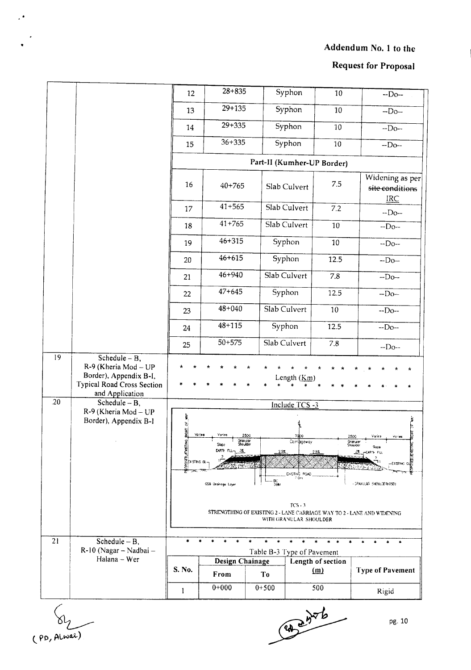**Request for Proposal** 

|                        |                                                                                                                                                                                          | 12                                                          | $28 + 835$                                                  |                            | Syphon                                                                   | $10\,$                               | $-Do-$                                                                                                                                                                                                                                                                                  |
|------------------------|------------------------------------------------------------------------------------------------------------------------------------------------------------------------------------------|-------------------------------------------------------------|-------------------------------------------------------------|----------------------------|--------------------------------------------------------------------------|--------------------------------------|-----------------------------------------------------------------------------------------------------------------------------------------------------------------------------------------------------------------------------------------------------------------------------------------|
|                        |                                                                                                                                                                                          | 13                                                          | $29 + 135$                                                  |                            | Syphon                                                                   | 10                                   | $-Do-$                                                                                                                                                                                                                                                                                  |
|                        |                                                                                                                                                                                          | 14                                                          | $29 + 335$                                                  |                            | Syphon                                                                   | 10                                   | $-Do-$                                                                                                                                                                                                                                                                                  |
|                        |                                                                                                                                                                                          | 15                                                          | $36 + 335$                                                  |                            | Syphon                                                                   | 10                                   | $-Do-$                                                                                                                                                                                                                                                                                  |
|                        |                                                                                                                                                                                          |                                                             |                                                             | Part-II (Kumher-UP Border) |                                                                          |                                      |                                                                                                                                                                                                                                                                                         |
|                        |                                                                                                                                                                                          | 16                                                          | $40 + 765$                                                  |                            | Slab Culvert                                                             | 7.5                                  | Widening as per<br>site conditions<br>IRC                                                                                                                                                                                                                                               |
|                        |                                                                                                                                                                                          | 17                                                          | $41 + 565$                                                  |                            | Slab Culvert                                                             | 7.2                                  | $-Do-$                                                                                                                                                                                                                                                                                  |
|                        |                                                                                                                                                                                          | 18                                                          | $41 + 765$                                                  |                            | Slab Culvert                                                             | 10                                   | $-Do-$                                                                                                                                                                                                                                                                                  |
|                        |                                                                                                                                                                                          | 19                                                          | $46 + 315$                                                  |                            | Syphon                                                                   | 10                                   | $-Do-$                                                                                                                                                                                                                                                                                  |
|                        |                                                                                                                                                                                          | 20                                                          | $46 + 615$                                                  |                            | Syphon                                                                   | 12.5                                 | $-Do-$                                                                                                                                                                                                                                                                                  |
|                        |                                                                                                                                                                                          | 21                                                          | 46+940                                                      |                            | Slab Culvert                                                             | 7.8                                  | $-Do-$                                                                                                                                                                                                                                                                                  |
|                        |                                                                                                                                                                                          | 22                                                          | $47 + 645$                                                  |                            | Syphon                                                                   | 12.5                                 | $-Do-$                                                                                                                                                                                                                                                                                  |
|                        |                                                                                                                                                                                          | 23                                                          | $48 + 040$                                                  | Slab Culvert               |                                                                          | 10                                   | $-Do-$                                                                                                                                                                                                                                                                                  |
|                        |                                                                                                                                                                                          | 24                                                          | $48 + 115$                                                  | Syphon                     |                                                                          | 12.5                                 | $-Do-$                                                                                                                                                                                                                                                                                  |
|                        |                                                                                                                                                                                          | 25                                                          | $50 + 575$                                                  | Slab Culvert               |                                                                          | 7.8                                  | $-Do-$                                                                                                                                                                                                                                                                                  |
| $\overline{19}$<br>.20 | Schedule $- B$ ,<br>R-9 (Kheria Mod - UP<br>Border), Appendix B-I,<br>Typical Road Cross Section<br>and Application<br>Schedule $- B$ ,<br>R-9 (Kheria Mod - UP<br>Border), Appendix B-I | NO RIGHT OF WAY<br>Varies<br>OPOSED CENSTING<br>CENSTING CL | Variss<br>Granular<br>Slop?<br>Shoulder<br>EARTH RUL-<br>35 | 2500<br>2.57               | Length $(Km)$<br>Include TCS -3<br>Carríbgeway<br>EXISTING ROAD<br>7 Ons | 2500<br>Granular<br>Shoukler<br>2.57 | Varies<br>Varies<br>$9$ ope<br>Existing of the context.<br>Store of the context in the context of the context of the context of the context of the context of the context<br>Store of the context of the context of the context of the context of the context of th<br>72<br>HEARTH FLL |
| 21                     |                                                                                                                                                                                          |                                                             | CSB Drainage Layer                                          | .<br>Вем                   | $TCS - 3$<br>WITH GRANULAR SHOULDER                                      |                                      | - SRANULAR SHOULDER(GSB)<br>STRENGTHING OF EXISTING 2 - LANE CARRIAGE WAY TO 2 - LANE AND WIDENING                                                                                                                                                                                      |
|                        | Schedule $- B$ ,<br>R-10 (Nagar - Nadbai -                                                                                                                                               |                                                             |                                                             | Table B-3 Type of Pavement |                                                                          |                                      | $\pmb{\ast}$                                                                                                                                                                                                                                                                            |
|                        | Halana - Wer                                                                                                                                                                             | S. No.                                                      | Design Chainage<br>From                                     | To                         |                                                                          | Length of section<br>(m)             | <b>Type of Pavement</b>                                                                                                                                                                                                                                                                 |
|                        |                                                                                                                                                                                          | ľ                                                           | $0+000$                                                     | $0+500$                    |                                                                          | 500                                  | Rigid                                                                                                                                                                                                                                                                                   |
|                        |                                                                                                                                                                                          |                                                             |                                                             |                            |                                                                          |                                      |                                                                                                                                                                                                                                                                                         |

(PD, ALWAR)

 $\mathcal{L}^{\bullet}$ 

 $4724$ 

pg. 10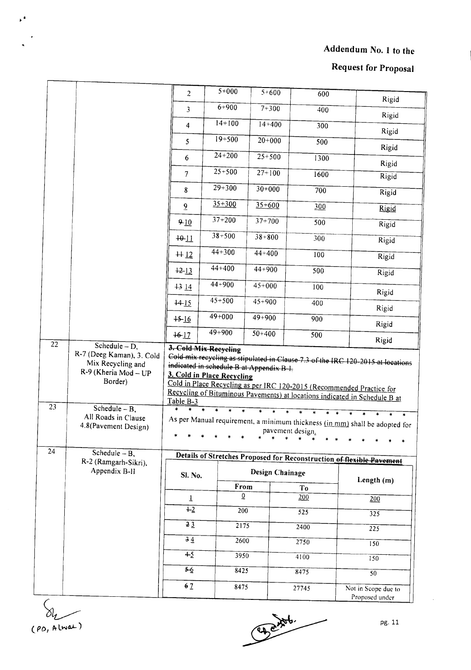# **Request for Proposal**

|                 |                                                                                                 | $\overline{2}$  | $5+000$                                                                | $5 + 600$       | 600              | Rigid                                                                                                                                                                                                                                                                                                                 |
|-----------------|-------------------------------------------------------------------------------------------------|-----------------|------------------------------------------------------------------------|-----------------|------------------|-----------------------------------------------------------------------------------------------------------------------------------------------------------------------------------------------------------------------------------------------------------------------------------------------------------------------|
|                 |                                                                                                 | 3               | $6 + 900$                                                              | $7 + 300$       | 400              | Rigid                                                                                                                                                                                                                                                                                                                 |
|                 |                                                                                                 | $\overline{4}$  | $14 + 100$                                                             | $14+400$        | 300              | Rigid                                                                                                                                                                                                                                                                                                                 |
|                 |                                                                                                 | 5               | $19 + 500$                                                             | $20+000$        | 500              | Rigid                                                                                                                                                                                                                                                                                                                 |
|                 |                                                                                                 | 6               | $24 + 200$                                                             | $25 + 500$      | 1300             | Rigid                                                                                                                                                                                                                                                                                                                 |
|                 |                                                                                                 | $\overline{7}$  | $25 + 500$                                                             | $27+100$        | 1600             | Rigid                                                                                                                                                                                                                                                                                                                 |
|                 |                                                                                                 | 8               | $29 + 300$                                                             | $30+000$        | 700              | Rigid                                                                                                                                                                                                                                                                                                                 |
|                 |                                                                                                 | $\overline{9}$  | $35 + 300$                                                             | $35 + 600$      | 300              | Rigid                                                                                                                                                                                                                                                                                                                 |
|                 |                                                                                                 | $9 - 10$        | $37 + 200$                                                             | $37 + 700$      | 500              | Rigid                                                                                                                                                                                                                                                                                                                 |
|                 |                                                                                                 | $+0.11$         | $38 + 500$                                                             | $38 + 800$      | 300              | Rigid                                                                                                                                                                                                                                                                                                                 |
|                 |                                                                                                 | $+12$           | $44 + 300$                                                             | $44 + 400$      | 100              | Rigid                                                                                                                                                                                                                                                                                                                 |
|                 |                                                                                                 | $+2 - 13$       | $44+400$                                                               | $44 + 900$      | 500              | Rigid                                                                                                                                                                                                                                                                                                                 |
|                 |                                                                                                 | $+314$          | $44 + 900$                                                             | $45 + 000$      | 100              |                                                                                                                                                                                                                                                                                                                       |
|                 |                                                                                                 | $+4.15$         | $45 + 500$                                                             | $45 + 900$      | 400              | Rigid                                                                                                                                                                                                                                                                                                                 |
|                 |                                                                                                 | $+5 - 16$       | $49 + 000$                                                             | $49 + 900$      | 900              | Rigid                                                                                                                                                                                                                                                                                                                 |
|                 |                                                                                                 | $16 - 17$       | 49+900                                                                 | $50 + 400$      | 500              | Rigid                                                                                                                                                                                                                                                                                                                 |
| $\overline{22}$ | Schedule $-D$ ,                                                                                 |                 | 3. Cold-Mix Recycling                                                  |                 |                  | Rigid                                                                                                                                                                                                                                                                                                                 |
| 23              | Mix Recycling and<br>R-9 (Kheria Mod - UP<br>Border)<br>Schedule $- B$ ,<br>All Roads in Clause | Table B-3       | indicated in schedule B at Appendix B-I.<br>3. Cold in Place Recycling |                 |                  | Cold mix recycling as stipulated in Clause 7.3 of the IRC 120-2015 at locations<br>Cold in Place Recycling as per IRC 120-2015 (Recommended Practice for<br>Recycling of Bituminous Pavements) at locations indicated in Schedule B at<br>As per Manual requirement, a minimum thickness (in mm) shall be adopted for |
| 24              | 4.8(Pavement Design)<br>Schedule $-B$ ,                                                         |                 |                                                                        |                 | pavement design. |                                                                                                                                                                                                                                                                                                                       |
|                 | R-2 (Ramgarh-Sikri),                                                                            |                 |                                                                        |                 |                  | Details of Stretches Proposed for Reconstruction of flexible Pavement                                                                                                                                                                                                                                                 |
|                 | Appendix B-II                                                                                   | Sl. No.         |                                                                        | Design Chainage |                  | Length $(m)$                                                                                                                                                                                                                                                                                                          |
|                 |                                                                                                 |                 | From                                                                   |                 | T <sub>o</sub>   |                                                                                                                                                                                                                                                                                                                       |
|                 |                                                                                                 | $\overline{1}$  | $\overline{0}$                                                         |                 | 200              | 200                                                                                                                                                                                                                                                                                                                   |
|                 |                                                                                                 | $+2$            | 200                                                                    |                 | $\sqrt{525}$     | 325                                                                                                                                                                                                                                                                                                                   |
|                 |                                                                                                 | $\overline{23}$ | $\overline{2175}$                                                      |                 | 2400             | $\overline{225}$                                                                                                                                                                                                                                                                                                      |
|                 |                                                                                                 | 34              | 2600                                                                   |                 | 2750             | 150                                                                                                                                                                                                                                                                                                                   |
|                 |                                                                                                 | $+5$            | 3950                                                                   |                 | 4100             | 150                                                                                                                                                                                                                                                                                                                   |
|                 |                                                                                                 | $5-6$           | 8425                                                                   |                 | 8475             | 50                                                                                                                                                                                                                                                                                                                    |
|                 |                                                                                                 | 6 <sub>7</sub>  | 8475                                                                   |                 | 27745            | Not in Scope due to<br>Proposed under                                                                                                                                                                                                                                                                                 |

 $\delta l_1$ (PD, Alwat)

 $\mathbf{r}$ 

Edgards ∽